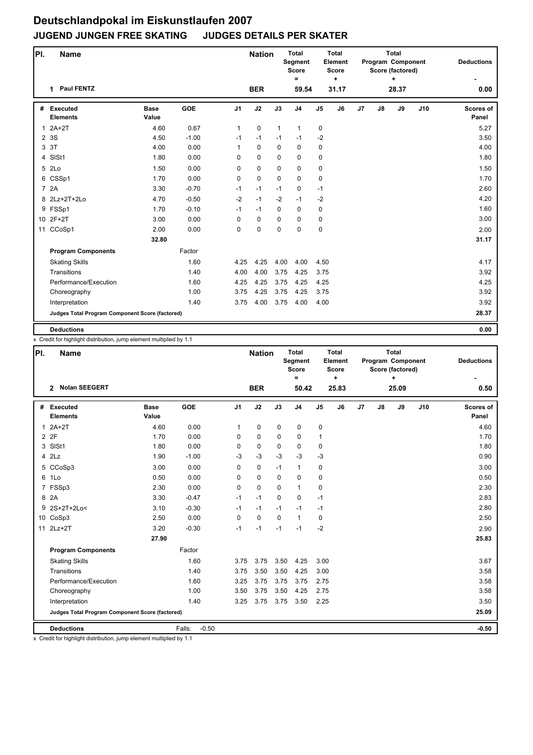## **Deutschlandpokal im Eiskunstlaufen 2007 JUGEND JUNGEN FREE SKATING JUDGES DETAILS PER SKATER**

| PI.            | <b>Name</b>                                     |                      |            |                | <b>Nation</b> |              | <b>Total</b><br>Segment<br><b>Score</b><br>$\equiv$ |                | Total<br>Element<br><b>Score</b><br>٠. |    |    | <b>Total</b><br>Program Component<br>Score (factored)<br>÷ | <b>Deductions</b> |                    |
|----------------|-------------------------------------------------|----------------------|------------|----------------|---------------|--------------|-----------------------------------------------------|----------------|----------------------------------------|----|----|------------------------------------------------------------|-------------------|--------------------|
|                | 1 Paul FENTZ                                    |                      |            |                | <b>BER</b>    |              | 59.54                                               |                | 31.17                                  |    |    | 28.37                                                      |                   | 0.00               |
| #              | <b>Executed</b><br><b>Elements</b>              | <b>Base</b><br>Value | <b>GOE</b> | J <sub>1</sub> | J2            | J3           | J <sub>4</sub>                                      | J <sub>5</sub> | J6                                     | J7 | J8 | J9                                                         | J10               | Scores of<br>Panel |
| $\mathbf{1}$   | $2A+2T$                                         | 4.60                 | 0.67       | 1              | $\mathbf 0$   | $\mathbf{1}$ | $\mathbf{1}$                                        | $\mathbf 0$    |                                        |    |    |                                                            |                   | 5.27               |
| $\overline{2}$ | 3S                                              | 4.50                 | $-1.00$    | $-1$           | $-1$          | $-1$         | $-1$                                                | $-2$           |                                        |    |    |                                                            |                   | 3.50               |
| 3              | 3T                                              | 4.00                 | 0.00       | 1              | $\mathbf 0$   | $\mathbf{0}$ | $\mathbf 0$                                         | $\mathbf 0$    |                                        |    |    |                                                            |                   | 4.00               |
|                | 4 SISt1                                         | 1.80                 | 0.00       | 0              | $\mathbf 0$   | $\mathbf 0$  | $\mathbf 0$                                         | $\mathbf 0$    |                                        |    |    |                                                            |                   | 1.80               |
|                | 5 2Lo                                           | 1.50                 | 0.00       | 0              | 0             | $\mathbf 0$  | $\mathbf 0$                                         | $\pmb{0}$      |                                        |    |    |                                                            |                   | 1.50               |
|                | 6 CSSp1                                         | 1.70                 | 0.00       | 0              | $\mathbf 0$   | $\Omega$     | $\mathbf 0$                                         | $\mathbf 0$    |                                        |    |    |                                                            |                   | 1.70               |
|                | 7 2A                                            | 3.30                 | $-0.70$    | $-1$           | $-1$          | $-1$         | $\mathbf 0$                                         | $-1$           |                                        |    |    |                                                            |                   | 2.60               |
|                | 8 2Lz+2T+2Lo                                    | 4.70                 | $-0.50$    | $-2$           | $-1$          | $-2$         | $-1$                                                | $-2$           |                                        |    |    |                                                            |                   | 4.20               |
|                | 9 FSSp1                                         | 1.70                 | $-0.10$    | $-1$           | $-1$          | $\mathbf 0$  | $\mathbf 0$                                         | 0              |                                        |    |    |                                                            |                   | 1.60               |
|                | 10 2F+2T                                        | 3.00                 | 0.00       | 0              | $\mathbf 0$   | $\Omega$     | $\Omega$                                            | 0              |                                        |    |    |                                                            |                   | 3.00               |
| 11             | CCoSp1                                          | 2.00                 | 0.00       | 0              | $\pmb{0}$     | $\mathbf 0$  | 0                                                   | $\mathbf 0$    |                                        |    |    |                                                            |                   | 2.00               |
|                |                                                 | 32.80                |            |                |               |              |                                                     |                |                                        |    |    |                                                            |                   | 31.17              |
|                | <b>Program Components</b>                       |                      | Factor     |                |               |              |                                                     |                |                                        |    |    |                                                            |                   |                    |
|                | <b>Skating Skills</b>                           |                      | 1.60       | 4.25           | 4.25          | 4.00         | 4.00                                                | 4.50           |                                        |    |    |                                                            |                   | 4.17               |
|                | Transitions                                     |                      | 1.40       | 4.00           | 4.00          | 3.75         | 4.25                                                | 3.75           |                                        |    |    |                                                            |                   | 3.92               |
|                | Performance/Execution                           |                      | 1.60       | 4.25           | 4.25          | 3.75         | 4.25                                                | 4.25           |                                        |    |    |                                                            |                   | 4.25               |
|                | Choreography                                    |                      | 1.00       | 3.75           | 4.25          | 3.75         | 4.25                                                | 3.75           |                                        |    |    |                                                            |                   | 3.92               |
|                | Interpretation                                  |                      | 1.40       | 3.75           | 4.00          | 3.75         | 4.00                                                | 4.00           |                                        |    |    |                                                            |                   | 3.92               |
|                | Judges Total Program Component Score (factored) |                      |            |                |               |              |                                                     |                |                                        |    |    |                                                            |                   | 28.37              |
|                | <b>Deductions</b>                               |                      |            |                |               |              |                                                     |                |                                        |    |    |                                                            |                   | 0.00               |

x Credit for highlight distribution, jump element multiplied by 1.1

| PI. | Name                                            |                      |                   |                | <b>Nation</b> |             | <b>Total</b><br>Segment<br><b>Score</b><br>$\equiv$ |                | Total<br>Element<br><b>Score</b><br>$\ddot{}$ |    |    | <b>Total</b><br>Program Component<br>Score (factored) | <b>Deductions</b> |                           |
|-----|-------------------------------------------------|----------------------|-------------------|----------------|---------------|-------------|-----------------------------------------------------|----------------|-----------------------------------------------|----|----|-------------------------------------------------------|-------------------|---------------------------|
|     | <b>Nolan SEEGERT</b><br>$\mathbf{2}$            |                      |                   |                | <b>BER</b>    |             | 50.42                                               |                | 25.83                                         |    |    | 25.09                                                 |                   | 0.50                      |
| #   | <b>Executed</b><br><b>Elements</b>              | <b>Base</b><br>Value | GOE               | J <sub>1</sub> | J2            | J3          | J <sub>4</sub>                                      | J <sub>5</sub> | J6                                            | J7 | J8 | J9                                                    | J10               | <b>Scores of</b><br>Panel |
| 1   | $2A+2T$                                         | 4.60                 | 0.00              | 1              | 0             | $\mathbf 0$ | 0                                                   | 0              |                                               |    |    |                                                       |                   | 4.60                      |
|     | 2 2F                                            | 1.70                 | 0.00              | 0              | 0             | $\mathbf 0$ | 0                                                   | $\mathbf{1}$   |                                               |    |    |                                                       |                   | 1.70                      |
|     | 3 SISt1                                         | 1.80                 | 0.00              | 0              | $\mathbf 0$   | $\mathbf 0$ | $\mathbf 0$                                         | 0              |                                               |    |    |                                                       |                   | 1.80                      |
|     | $4$ $2Lz$                                       | 1.90                 | $-1.00$           | $-3$           | $-3$          | $-3$        | $-3$                                                | $-3$           |                                               |    |    |                                                       |                   | 0.90                      |
|     | 5 CCoSp3                                        | 3.00                 | 0.00              | 0              | $\mathbf 0$   | $-1$        | $\mathbf{1}$                                        | 0              |                                               |    |    |                                                       |                   | 3.00                      |
|     | 6 1Lo                                           | 0.50                 | 0.00              | $\Omega$       | 0             | $\mathbf 0$ | $\mathbf 0$                                         | 0              |                                               |    |    |                                                       |                   | 0.50                      |
|     | 7 FSSp3                                         | 2.30                 | 0.00              | 0              | 0             | $\Omega$    | $\mathbf{1}$                                        | 0              |                                               |    |    |                                                       |                   | 2.30                      |
|     | 8 2A                                            | 3.30                 | $-0.47$           | $-1$           | $-1$          | $\Omega$    | 0                                                   | $-1$           |                                               |    |    |                                                       |                   | 2.83                      |
|     | 9 2S+2T+2Lo<                                    | 3.10                 | $-0.30$           | $-1$           | $-1$          | $-1$        | $-1$                                                | $-1$           |                                               |    |    |                                                       |                   | 2.80                      |
|     | 10 CoSp3                                        | 2.50                 | 0.00              | $\Omega$       | 0             | $\Omega$    | $\mathbf{1}$                                        | 0              |                                               |    |    |                                                       |                   | 2.50                      |
| 11  | $2Lz+2T$                                        | 3.20                 | $-0.30$           | $-1$           | $-1$          | $-1$        | $-1$                                                | $-2$           |                                               |    |    |                                                       |                   | 2.90                      |
|     |                                                 | 27.90                |                   |                |               |             |                                                     |                |                                               |    |    |                                                       |                   | 25.83                     |
|     | <b>Program Components</b>                       |                      | Factor            |                |               |             |                                                     |                |                                               |    |    |                                                       |                   |                           |
|     | <b>Skating Skills</b>                           |                      | 1.60              | 3.75           | 3.75          | 3.50        | 4.25                                                | 3.00           |                                               |    |    |                                                       |                   | 3.67                      |
|     | Transitions                                     |                      | 1.40              | 3.75           | 3.50          | 3.50        | 4.25                                                | 3.00           |                                               |    |    |                                                       |                   | 3.58                      |
|     | Performance/Execution                           |                      | 1.60              | 3.25           | 3.75          | 3.75        | 3.75                                                | 2.75           |                                               |    |    |                                                       |                   | 3.58                      |
|     | Choreography                                    |                      | 1.00              | 3.50           | 3.75          | 3.50        | 4.25                                                | 2.75           |                                               |    |    |                                                       |                   | 3.58                      |
|     | Interpretation                                  |                      | 1.40              | 3.25           | 3.75          | 3.75        | 3.50                                                | 2.25           |                                               |    |    |                                                       |                   | 3.50                      |
|     | Judges Total Program Component Score (factored) |                      |                   |                |               |             |                                                     |                |                                               |    |    |                                                       |                   | 25.09                     |
|     | <b>Deductions</b>                               |                      | Falls:<br>$-0.50$ |                |               |             |                                                     |                |                                               |    |    |                                                       |                   | $-0.50$                   |

x Credit for highlight distribution, jump element multiplied by 1.1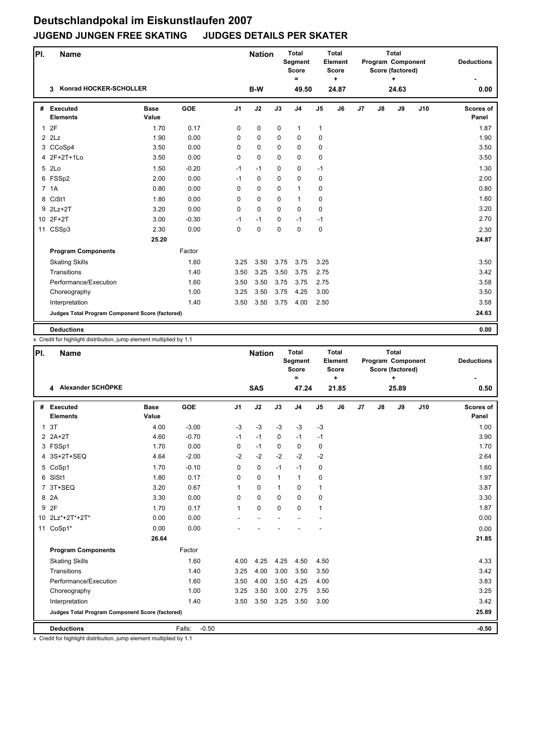## **Deutschlandpokal im Eiskunstlaufen 2007 JUGEND JUNGEN FREE SKATING JUDGES DETAILS PER SKATER**

| PI.          | <b>Name</b>                                     |                      |            |                | <b>Nation</b> |             | <b>Total</b><br>Segment<br><b>Score</b><br>$=$ |                | <b>Total</b><br>Element<br><b>Score</b><br>٠. |    |    | <b>Total</b><br>Program Component<br>Score (factored)<br>÷ | <b>Deductions</b> |                           |
|--------------|-------------------------------------------------|----------------------|------------|----------------|---------------|-------------|------------------------------------------------|----------------|-----------------------------------------------|----|----|------------------------------------------------------------|-------------------|---------------------------|
|              | <b>Konrad HOCKER-SCHOLLER</b><br>3              |                      |            |                | B-W           |             | 49.50                                          |                | 24.87                                         |    |    | 24.63                                                      |                   | 0.00                      |
| #            | <b>Executed</b><br><b>Elements</b>              | <b>Base</b><br>Value | <b>GOE</b> | J <sub>1</sub> | J2            | J3          | J <sub>4</sub>                                 | J <sub>5</sub> | J6                                            | J7 | J8 | J9                                                         | J10               | <b>Scores of</b><br>Panel |
| $\mathbf{1}$ | 2F                                              | 1.70                 | 0.17       | $\mathbf 0$    | 0             | $\mathbf 0$ | $\mathbf{1}$                                   | $\mathbf{1}$   |                                               |    |    |                                                            |                   | 1.87                      |
|              | $2$ $2Lz$                                       | 1.90                 | 0.00       | $\mathbf 0$    | $\pmb{0}$     | 0           | 0                                              | 0              |                                               |    |    |                                                            |                   | 1.90                      |
|              | 3 CCoSp4                                        | 3.50                 | 0.00       | $\mathbf 0$    | 0             | $\Omega$    | $\mathbf 0$                                    | 0              |                                               |    |    |                                                            |                   | 3.50                      |
|              | 4 2F+2T+1Lo                                     | 3.50                 | 0.00       | 0              | $\mathbf 0$   | $\mathbf 0$ | $\mathbf 0$                                    | $\mathbf 0$    |                                               |    |    |                                                            |                   | 3.50                      |
|              | 5 2Lo                                           | 1.50                 | $-0.20$    | $-1$           | $-1$          | $\mathbf 0$ | 0                                              | $-1$           |                                               |    |    |                                                            |                   | 1.30                      |
|              | 6 FSSp2                                         | 2.00                 | 0.00       | $-1$           | 0             | $\mathbf 0$ | 0                                              | 0              |                                               |    |    |                                                            |                   | 2.00                      |
|              | 7 1A                                            | 0.80                 | 0.00       | $\Omega$       | $\mathbf 0$   | $\Omega$    | $\mathbf{1}$                                   | 0              |                                               |    |    |                                                            |                   | 0.80                      |
| 8            | CiSt1                                           | 1.80                 | 0.00       | 0              | $\pmb{0}$     | $\mathbf 0$ | $\mathbf{1}$                                   | 0              |                                               |    |    |                                                            |                   | 1.80                      |
|              | 9 2Lz+2T                                        | 3.20                 | 0.00       | $\mathbf 0$    | $\mathbf 0$   | $\Omega$    | $\mathbf 0$                                    | 0              |                                               |    |    |                                                            |                   | 3.20                      |
|              | 10 2F+2T                                        | 3.00                 | $-0.30$    | $-1$           | $-1$          | $\Omega$    | $-1$                                           | $-1$           |                                               |    |    |                                                            |                   | 2.70                      |
| 11           | CSSp3                                           | 2.30                 | 0.00       | $\mathbf 0$    | $\pmb{0}$     | $\mathbf 0$ | $\mathbf 0$                                    | 0              |                                               |    |    |                                                            |                   | 2.30                      |
|              |                                                 | 25.20                |            |                |               |             |                                                |                |                                               |    |    |                                                            |                   | 24.87                     |
|              | <b>Program Components</b>                       |                      | Factor     |                |               |             |                                                |                |                                               |    |    |                                                            |                   |                           |
|              | <b>Skating Skills</b>                           |                      | 1.60       | 3.25           | 3.50          | 3.75        | 3.75                                           | 3.25           |                                               |    |    |                                                            |                   | 3.50                      |
|              | Transitions                                     |                      | 1.40       | 3.50           | 3.25          | 3.50        | 3.75                                           | 2.75           |                                               |    |    |                                                            |                   | 3.42                      |
|              | Performance/Execution                           |                      | 1.60       | 3.50           | 3.50          | 3.75        | 3.75                                           | 2.75           |                                               |    |    |                                                            |                   | 3.58                      |
|              | Choreography                                    |                      | 1.00       | 3.25           | 3.50          | 3.75        | 4.25                                           | 3.00           |                                               |    |    |                                                            |                   | 3.50                      |
|              | Interpretation                                  |                      | 1.40       | 3.50           | 3.50          | 3.75        | 4.00                                           | 2.50           |                                               |    |    |                                                            |                   | 3.58                      |
|              | Judges Total Program Component Score (factored) |                      |            |                |               |             |                                                |                |                                               |    |    |                                                            |                   | 24.63                     |
|              | <b>Deductions</b>                               |                      |            |                |               |             |                                                |                |                                               |    |    |                                                            |                   | 0.00                      |

x Credit for highlight distribution, jump element multiplied by 1.1

| PI.         | <b>Name</b>                                     |                      |                   |                | <b>Nation</b> |              | <b>Total</b><br>Segment<br><b>Score</b><br>$\equiv$ |                | <b>Total</b><br>Element<br>Score<br>÷ |    |    | <b>Total</b><br>Program Component<br>Score (factored)<br>÷ | <b>Deductions</b> |                           |
|-------------|-------------------------------------------------|----------------------|-------------------|----------------|---------------|--------------|-----------------------------------------------------|----------------|---------------------------------------|----|----|------------------------------------------------------------|-------------------|---------------------------|
|             | 4 Alexander SCHÖPKE                             |                      |                   |                | <b>SAS</b>    |              | 47.24                                               |                | 21.85                                 |    |    | 25.89                                                      |                   | 0.50                      |
| #           | Executed<br><b>Elements</b>                     | <b>Base</b><br>Value | <b>GOE</b>        | J <sub>1</sub> | J2            | J3           | J <sub>4</sub>                                      | J <sub>5</sub> | J6                                    | J7 | J8 | J9                                                         | J10               | <b>Scores of</b><br>Panel |
| $\mathbf 1$ | 3T                                              | 4.00                 | $-3.00$           | $-3$           | $-3$          | $-3$         | $-3$                                                | $-3$           |                                       |    |    |                                                            |                   | 1.00                      |
|             | $2$ $2A+2T$                                     | 4.60                 | $-0.70$           | $-1$           | $-1$          | $\mathbf 0$  | $-1$                                                | $-1$           |                                       |    |    |                                                            |                   | 3.90                      |
|             | 3 FSSp1                                         | 1.70                 | 0.00              | 0              | $-1$          | $\mathbf 0$  | $\mathbf 0$                                         | 0              |                                       |    |    |                                                            |                   | 1.70                      |
|             | 4 3S+2T+SEQ                                     | 4.64                 | $-2.00$           | $-2$           | $-2$          | $-2$         | $-2$                                                | $-2$           |                                       |    |    |                                                            |                   | 2.64                      |
|             | 5 CoSp1                                         | 1.70                 | $-0.10$           | 0              | 0             | $-1$         | $-1$                                                | 0              |                                       |    |    |                                                            |                   | 1.60                      |
|             | 6 SISt1                                         | 1.80                 | 0.17              | 0              | 0             | $\mathbf{1}$ | $\mathbf{1}$                                        | 0              |                                       |    |    |                                                            |                   | 1.97                      |
| 7           | 3T+SEQ                                          | 3.20                 | 0.67              | 1              | 0             | $\mathbf{1}$ | $\mathbf 0$                                         | 1              |                                       |    |    |                                                            |                   | 3.87                      |
| 8           | 2A                                              | 3.30                 | 0.00              | 0              | 0             | $\Omega$     | $\mathbf 0$                                         | 0              |                                       |    |    |                                                            |                   | 3.30                      |
| 9           | 2F                                              | 1.70                 | 0.17              | 1              | $\mathbf 0$   | $\Omega$     | $\mathbf 0$                                         | $\mathbf{1}$   |                                       |    |    |                                                            |                   | 1.87                      |
|             | 10 2Lz*+2T*+2T*                                 | 0.00                 | 0.00              |                |               |              |                                                     |                |                                       |    |    |                                                            |                   | 0.00                      |
| 11          | CoSp1*                                          | 0.00                 | 0.00              |                |               |              |                                                     |                |                                       |    |    |                                                            |                   | 0.00                      |
|             |                                                 | 26.64                |                   |                |               |              |                                                     |                |                                       |    |    |                                                            |                   | 21.85                     |
|             | <b>Program Components</b>                       |                      | Factor            |                |               |              |                                                     |                |                                       |    |    |                                                            |                   |                           |
|             | <b>Skating Skills</b>                           |                      | 1.60              | 4.00           | 4.25          | 4.25         | 4.50                                                | 4.50           |                                       |    |    |                                                            |                   | 4.33                      |
|             | Transitions                                     |                      | 1.40              | 3.25           | 4.00          | 3.00         | 3.50                                                | 3.50           |                                       |    |    |                                                            |                   | 3.42                      |
|             | Performance/Execution                           |                      | 1.60              | 3.50           | 4.00          | 3.50         | 4.25                                                | 4.00           |                                       |    |    |                                                            |                   | 3.83                      |
|             | Choreography                                    |                      | 1.00              | 3.25           | 3.50          | 3.00         | 2.75                                                | 3.50           |                                       |    |    |                                                            |                   | 3.25                      |
|             | Interpretation                                  |                      | 1.40              | 3.50           | 3.50          | 3.25         | 3.50                                                | 3.00           |                                       |    |    |                                                            |                   | 3.42                      |
|             | Judges Total Program Component Score (factored) |                      |                   |                |               |              |                                                     |                |                                       |    |    |                                                            |                   | 25.89                     |
|             | <b>Deductions</b>                               |                      | Falls:<br>$-0.50$ |                |               |              |                                                     |                |                                       |    |    |                                                            |                   | $-0.50$                   |

x Credit for highlight distribution, jump element multiplied by 1.1